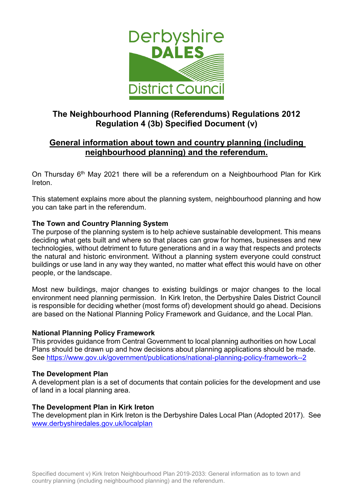

# **The Neighbourhood Planning (Referendums) Regulations 2012 Regulation 4 (3b) Specified Document (v)**

# **General information about town and country planning (including neighbourhood planning) and the referendum.**

On Thursday 6th May 2021 there will be a referendum on a Neighbourhood Plan for Kirk Ireton.

This statement explains more about the planning system, neighbourhood planning and how you can take part in the referendum.

## **The Town and Country Planning System**

The purpose of the planning system is to help achieve sustainable development. This means deciding what gets built and where so that places can grow for homes, businesses and new technologies, without detriment to future generations and in a way that respects and protects the natural and historic environment. Without a planning system everyone could construct buildings or use land in any way they wanted, no matter what effect this would have on other people, or the landscape.

Most new buildings, major changes to existing buildings or major changes to the local environment need planning permission. In Kirk Ireton, the Derbyshire Dales District Council is responsible for deciding whether (most forms of) development should go ahead. Decisions are based on the National Planning Policy Framework and Guidance, and the Local Plan.

#### **National Planning Policy Framework**

This provides guidance from Central Government to local planning authorities on how Local Plans should be drawn up and how decisions about planning applications should be made. See<https://www.gov.uk/government/publications/national-planning-policy-framework--2>

#### **The Development Plan**

A development plan is a set of documents that contain policies for the development and use of land in a local planning area.

#### **The Development Plan in Kirk Ireton**

The development plan in Kirk Ireton is the Derbyshire Dales Local Plan (Adopted 2017). See [www.derbyshiredales.gov.uk/localplan](http://www.derbyshiredales.gov.uk/localplan)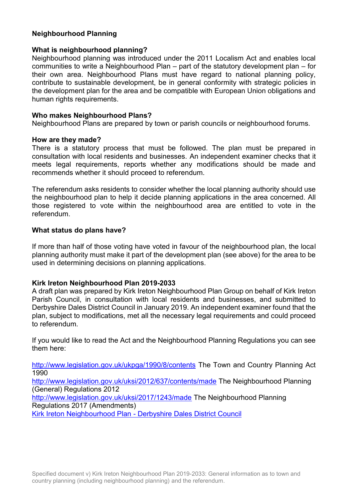## **Neighbourhood Planning**

#### **What is neighbourhood planning?**

Neighbourhood planning was introduced under the 2011 Localism Act and enables local communities to write a Neighbourhood Plan – part of the statutory development plan – for their own area. Neighbourhood Plans must have regard to national planning policy, contribute to sustainable development, be in general conformity with strategic policies in the development plan for the area and be compatible with European Union obligations and human rights requirements.

#### **Who makes Neighbourhood Plans?**

Neighbourhood Plans are prepared by town or parish councils or neighbourhood forums.

#### **How are they made?**

There is a statutory process that must be followed. The plan must be prepared in consultation with local residents and businesses. An independent examiner checks that it meets legal requirements, reports whether any modifications should be made and recommends whether it should proceed to referendum.

The referendum asks residents to consider whether the local planning authority should use the neighbourhood plan to help it decide planning applications in the area concerned. All those registered to vote within the neighbourhood area are entitled to vote in the referendum.

#### **What status do plans have?**

If more than half of those voting have voted in favour of the neighbourhood plan, the local planning authority must make it part of the development plan (see above) for the area to be used in determining decisions on planning applications.

#### **Kirk Ireton Neighbourhood Plan 2019-2033**

A draft plan was prepared by Kirk Ireton Neighbourhood Plan Group on behalf of Kirk Ireton Parish Council, in consultation with local residents and businesses, and submitted to Derbyshire Dales District Council in January 2019. An independent examiner found that the plan, subject to modifications, met all the necessary legal requirements and could proceed to referendum.

If you would like to read the Act and the Neighbourhood Planning Regulations you can see them here:

<http://www.legislation.gov.uk/ukpga/1990/8/contents> The Town and Country Planning Act 1990

<http://www.legislation.gov.uk/uksi/2012/637/contents/made> The Neighbourhood Planning (General) Regulations 2012

<http://www.legislation.gov.uk/uksi/2017/1243/made> The Neighbourhood Planning Regulations 2017 (Amendments)

Kirk Ireton Neighbourhood Plan - [Derbyshire Dales District Council](https://www.derbyshiredales.gov.uk/planning-a-building-control/planning-policy/neighbourhood-planning/kirkireton-neighbourhood-plan)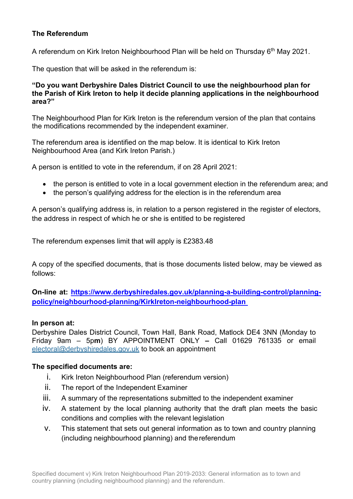# **The Referendum**

A referendum on Kirk Ireton Neighbourhood Plan will be held on Thursday 6<sup>th</sup> May 2021.

The question that will be asked in the referendum is:

#### **"Do you want Derbyshire Dales District Council to use the neighbourhood plan for the Parish of Kirk Ireton to help it decide planning applications in the neighbourhood area?"**

The Neighbourhood Plan for Kirk Ireton is the referendum version of the plan that contains the modifications recommended by the independent examiner.

The referendum area is identified on the map below. It is identical to Kirk Ireton Neighbourhood Area (and Kirk Ireton Parish.)

A person is entitled to vote in the referendum, if on 28 April 2021:

- the person is entitled to vote in a local government election in the referendum area; and
- the person's qualifying address for the election is in the referendum area

A person's qualifying address is, in relation to a person registered in the register of electors, the address in respect of which he or she is entitled to be registered

The referendum expenses limit that will apply is £2383.48

A copy of the specified documents, that is those documents listed below, may be viewed as follows:

**On-line at: [https://www.derbyshiredales.gov.uk/planning-a-building-control/planning](https://www.derbyshiredales.gov.uk/planning-a-building-control/planning-policy/neighbourhood-planning/KirkIreton-neighbourhood-plan)[policy/neighbourhood-planning/KirkIreton-neighbourhood-plan](https://www.derbyshiredales.gov.uk/planning-a-building-control/planning-policy/neighbourhood-planning/KirkIreton-neighbourhood-plan)**

#### **In person at:**

Derbyshire Dales District Council, Town Hall, Bank Road, Matlock DE4 3NN (Monday to Friday 9am – 5p**m**) BY APPOINTMENT ONLY **–** Call 01629 761335 or email [electoral@derbyshiredales.gov.uk](mailto:electoral@derbyshiredales.gov.uk) to book an appointment

#### **The specified documents are:**

- i. Kirk Ireton Neighbourhood Plan (referendum version)
- ii. The report of the Independent Examiner
- iii. A summary of the representations submitted to the independent examiner
- iv. A statement by the local planning authority that the draft plan meets the basic conditions and complies with the relevant legislation
- v. This statement that sets out general information as to town and country planning (including neighbourhood planning) and thereferendum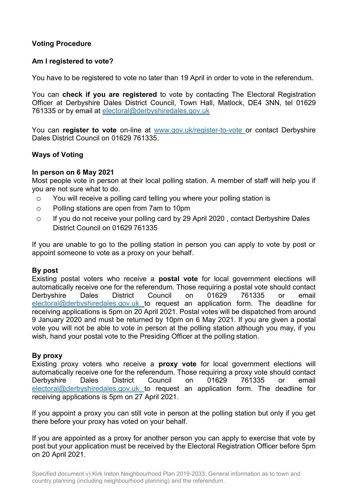# **Voting Procedure**

## **Am I registered to vote?**

You have to be registered to vote no later than 19 April in order to vote in the referendum.

You can **check if you are registered** to vote by contacting The Electoral Registration Officer at Derbyshire Dales District Council, Town Hall, Matlock, DE4 3NN, tel 01629 761335 or by email at [electoral@derbyshiredales.gov.uk](mailto:electoral@derbyshiredales.gov.uk)

You can **register to vote** on-line at [www.gov.uk/register-to-vote o](http://www.gov.uk/register-to-vote)r contact Derbyshire Dales District Council on 01629 761335.

## **Ways of Voting**

#### **In person on 6 May 2021**

Most people vote in person at their local polling station. A member of staff will help you if you are not sure what to do.

- o You will receive a polling card telling you where your polling station is
- o Polling stations are open from 7am to 10pm
- o If you do not receive your polling card by 29 April 2020 , contact Derbyshire Dales District Council on 01629 761335

If you are unable to go to the polling station in person you can apply to vote by post or appoint someone to vote as a proxy on your behalf.

#### **By post**

Existing postal voters who receive a **postal vote** for local government elections will automatically receive one for the referendum. Those requiring a postal vote should contact Derbyshire Dales District Council on 01629 761335 or email [electoral@derbyshiredales.gov.uk](mailto:electoral@derbyshiredales.gov.uk) to request an application form. The deadline for receiving applications is 5pm on 20 April 2021. Postal votes will be dispatched from around 9 January 2020 and must be returned by 10pm on 6 May 2021. If you are given a postal vote you will not be able to vote in person at the polling station although you may, if you wish, hand your postal vote to the Presiding Officer at the polling station.

#### **By proxy**

Existing proxy voters who receive a **proxy vote** for local government elections will automatically receive one for the referendum. Those requiring a proxy vote should contact Derbyshire Dales District Council on 01629 761335 or email [electoral@derbyshiredales.gov.uk](mailto:electoral@derbyshiredales.gov.uk) to request an application form. The deadline for receiving applications is 5pm on 27 April 2021.

If you appoint a proxy you can still vote in person at the polling station but only if you get there before your proxy has voted on your behalf.

If you are appointed as a proxy for another person you can apply to exercise that vote by post but your application must be received by the Electoral Registration Officer before 5pm on 20 April 2021.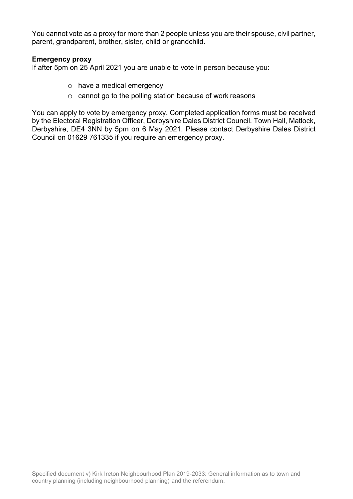You cannot vote as a proxy for more than 2 people unless you are their spouse, civil partner, parent, grandparent, brother, sister, child or grandchild.

#### **Emergency proxy**

If after 5pm on 25 April 2021 you are unable to vote in person because you:

- o have a medical emergency
- o cannot go to the polling station because of work reasons

You can apply to vote by emergency proxy. Completed application forms must be received by the Electoral Registration Officer, Derbyshire Dales District Council, Town Hall, Matlock, Derbyshire, DE4 3NN by 5pm on 6 May 2021. Please contact Derbyshire Dales District Council on 01629 761335 if you require an emergency proxy.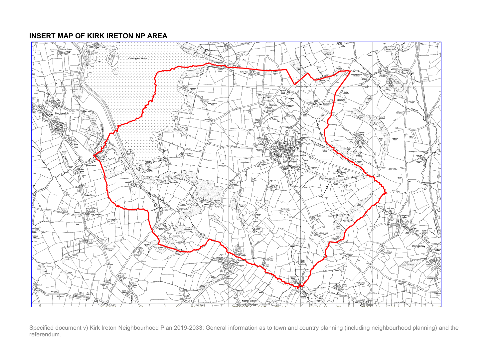#### **INSERT MAP OF KIRK IRETON NP AREA**



Specified document v) Kirk Ireton Neighbourhood Plan 2019-2033: General information as to town and country planning (including neighbourhood planning) and the referendum.